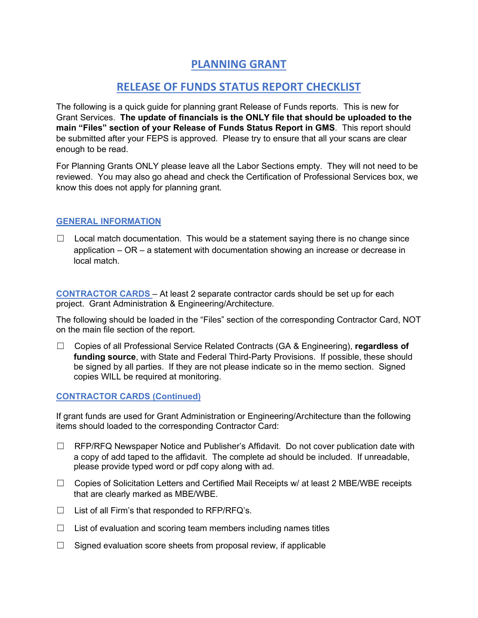## **PLANNING GRANT**

## **RELEASE OF FUNDS STATUS REPORT CHECKLIST**

The following is a quick guide for planning grant Release of Funds reports. This is new for Grant Services. **The update of financials is the ONLY file that should be uploaded to the main "Files" section of your Release of Funds Status Report in GMS**. This report should be submitted after your FEPS is approved. Please try to ensure that all your scans are clear enough to be read.

For Planning Grants ONLY please leave all the Labor Sections empty. They will not need to be reviewed. You may also go ahead and check the Certification of Professional Services box, we know this does not apply for planning grant.

## **GENERAL INFORMATION**

 $\Box$  Local match documentation. This would be a statement saying there is no change since application – OR – a statement with documentation showing an increase or decrease in local match.

**CONTRACTOR CARDS** – At least 2 separate contractor cards should be set up for each project. Grant Administration & Engineering/Architecture.

The following should be loaded in the "Files" section of the corresponding Contractor Card, NOT on the main file section of the report.

☐ Copies of all Professional Service Related Contracts (GA & Engineering), **regardless of funding source**, with State and Federal Third-Party Provisions. If possible, these should be signed by all parties. If they are not please indicate so in the memo section. Signed copies WILL be required at monitoring.

## **CONTRACTOR CARDS (Continued)**

If grant funds are used for Grant Administration or Engineering/Architecture than the following items should loaded to the corresponding Contractor Card:

- $\Box$  RFP/RFQ Newspaper Notice and Publisher's Affidavit. Do not cover publication date with a copy of add taped to the affidavit. The complete ad should be included. If unreadable, please provide typed word or pdf copy along with ad.
- $\Box$  Copies of Solicitation Letters and Certified Mail Receipts w/ at least 2 MBE/WBE receipts that are clearly marked as MBE/WBE.
- $\Box$  List of all Firm's that responded to RFP/RFQ's.
- $\Box$  List of evaluation and scoring team members including names titles
- $\Box$  Signed evaluation score sheets from proposal review, if applicable